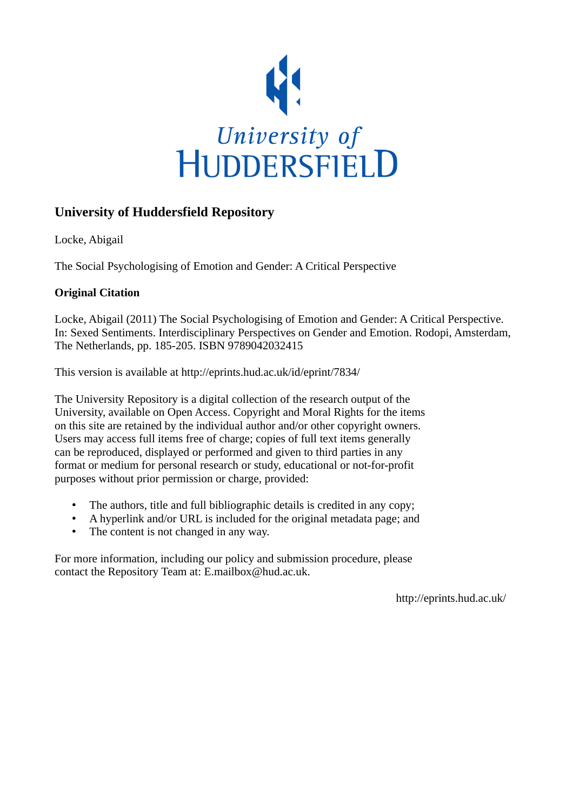

## **University of Huddersfield Repository**

Locke, Abigail

The Social Psychologising of Emotion and Gender: A Critical Perspective

## **Original Citation**

Locke, Abigail (2011) The Social Psychologising of Emotion and Gender: A Critical Perspective. In: Sexed Sentiments. Interdisciplinary Perspectives on Gender and Emotion. Rodopi, Amsterdam, The Netherlands, pp. 185-205. ISBN 9789042032415

This version is available at http://eprints.hud.ac.uk/id/eprint/7834/

The University Repository is a digital collection of the research output of the University, available on Open Access. Copyright and Moral Rights for the items on this site are retained by the individual author and/or other copyright owners. Users may access full items free of charge; copies of full text items generally can be reproduced, displayed or performed and given to third parties in any format or medium for personal research or study, educational or not-for-profit purposes without prior permission or charge, provided:

- The authors, title and full bibliographic details is credited in any copy;
- A hyperlink and/or URL is included for the original metadata page; and
- The content is not changed in any way.

For more information, including our policy and submission procedure, please contact the Repository Team at: E.mailbox@hud.ac.uk.

http://eprints.hud.ac.uk/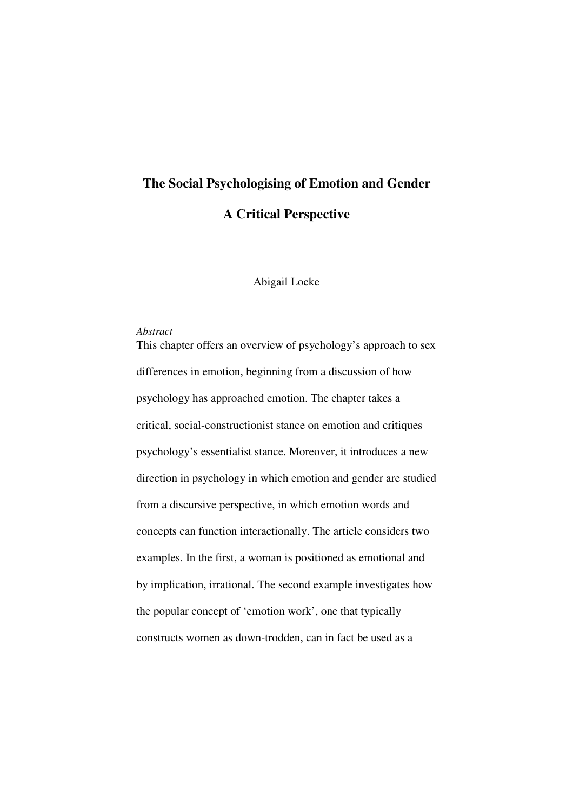# **The Social Psychologising of Emotion and Gender**

**A Critical Perspective** 

## Abigail Locke

## *Abstract*

This chapter offers an overview of psychology's approach to sex differences in emotion, beginning from a discussion of how psychology has approached emotion. The chapter takes a critical, social-constructionist stance on emotion and critiques psychology's essentialist stance. Moreover, it introduces a new direction in psychology in which emotion and gender are studied from a discursive perspective, in which emotion words and concepts can function interactionally. The article considers two examples. In the first, a woman is positioned as emotional and by implication, irrational. The second example investigates how the popular concept of 'emotion work', one that typically constructs women as down-trodden, can in fact be used as a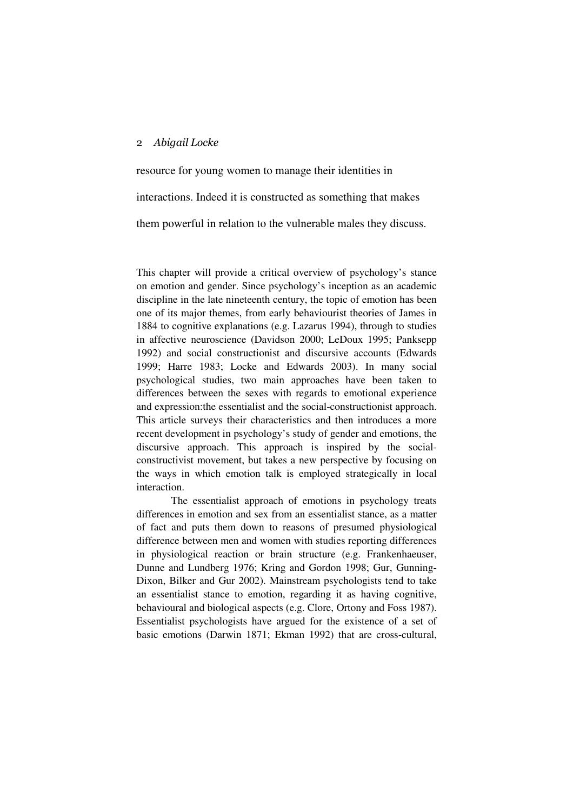resource for young women to manage their identities in

interactions. Indeed it is constructed as something that makes

them powerful in relation to the vulnerable males they discuss.

This chapter will provide a critical overview of psychology's stance on emotion and gender. Since psychology's inception as an academic discipline in the late nineteenth century, the topic of emotion has been one of its major themes, from early behaviourist theories of James in 1884 to cognitive explanations (e.g. Lazarus 1994), through to studies in affective neuroscience (Davidson 2000; LeDoux 1995; Panksepp 1992) and social constructionist and discursive accounts (Edwards 1999; Harre 1983; Locke and Edwards 2003). In many social psychological studies, two main approaches have been taken to differences between the sexes with regards to emotional experience and expression:the essentialist and the social-constructionist approach. This article surveys their characteristics and then introduces a more recent development in psychology's study of gender and emotions, the discursive approach. This approach is inspired by the socialconstructivist movement, but takes a new perspective by focusing on the ways in which emotion talk is employed strategically in local interaction.

 The essentialist approach of emotions in psychology treats differences in emotion and sex from an essentialist stance, as a matter of fact and puts them down to reasons of presumed physiological difference between men and women with studies reporting differences in physiological reaction or brain structure (e.g. Frankenhaeuser, Dunne and Lundberg 1976; Kring and Gordon 1998; Gur, Gunning-Dixon, Bilker and Gur 2002). Mainstream psychologists tend to take an essentialist stance to emotion, regarding it as having cognitive, behavioural and biological aspects (e.g. Clore, Ortony and Foss 1987). Essentialist psychologists have argued for the existence of a set of basic emotions (Darwin 1871; Ekman 1992) that are cross-cultural,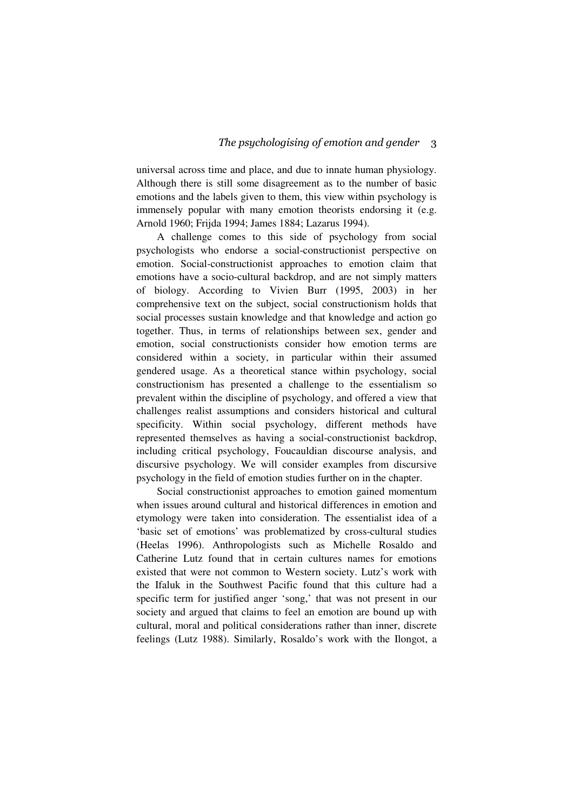universal across time and place, and due to innate human physiology. Although there is still some disagreement as to the number of basic emotions and the labels given to them, this view within psychology is immensely popular with many emotion theorists endorsing it (e.g. Arnold 1960; Frijda 1994; James 1884; Lazarus 1994).

A challenge comes to this side of psychology from social psychologists who endorse a social-constructionist perspective on emotion. Social-constructionist approaches to emotion claim that emotions have a socio-cultural backdrop, and are not simply matters of biology. According to Vivien Burr (1995, 2003) in her comprehensive text on the subject, social constructionism holds that social processes sustain knowledge and that knowledge and action go together. Thus, in terms of relationships between sex, gender and emotion, social constructionists consider how emotion terms are considered within a society, in particular within their assumed gendered usage. As a theoretical stance within psychology, social constructionism has presented a challenge to the essentialism so prevalent within the discipline of psychology, and offered a view that challenges realist assumptions and considers historical and cultural specificity. Within social psychology, different methods have represented themselves as having a social-constructionist backdrop, including critical psychology, Foucauldian discourse analysis, and discursive psychology. We will consider examples from discursive psychology in the field of emotion studies further on in the chapter.

Social constructionist approaches to emotion gained momentum when issues around cultural and historical differences in emotion and etymology were taken into consideration. The essentialist idea of a 'basic set of emotions' was problematized by cross-cultural studies (Heelas 1996). Anthropologists such as Michelle Rosaldo and Catherine Lutz found that in certain cultures names for emotions existed that were not common to Western society. Lutz's work with the Ifaluk in the Southwest Pacific found that this culture had a specific term for justified anger 'song,' that was not present in our society and argued that claims to feel an emotion are bound up with cultural, moral and political considerations rather than inner, discrete feelings (Lutz 1988). Similarly, Rosaldo's work with the Ilongot, a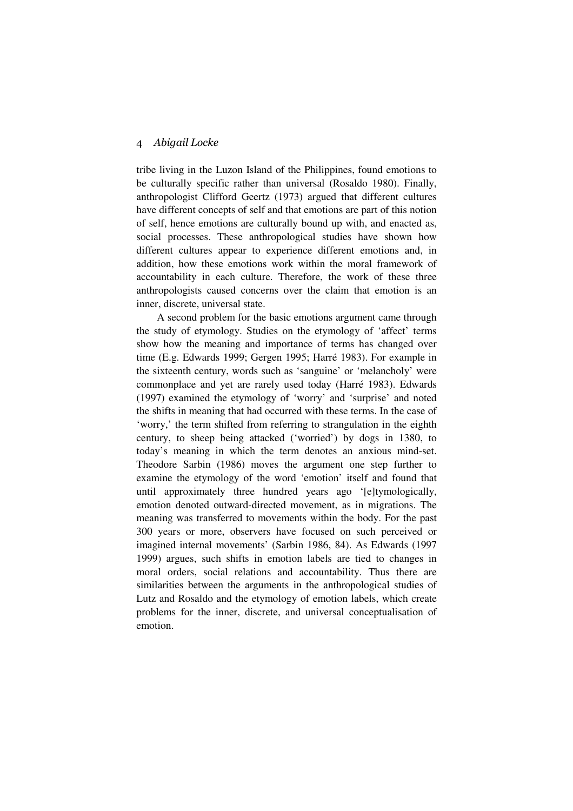tribe living in the Luzon Island of the Philippines, found emotions to be culturally specific rather than universal (Rosaldo 1980). Finally, anthropologist Clifford Geertz (1973) argued that different cultures have different concepts of self and that emotions are part of this notion of self, hence emotions are culturally bound up with, and enacted as, social processes. These anthropological studies have shown how different cultures appear to experience different emotions and, in addition, how these emotions work within the moral framework of accountability in each culture. Therefore, the work of these three anthropologists caused concerns over the claim that emotion is an inner, discrete, universal state.

A second problem for the basic emotions argument came through the study of etymology. Studies on the etymology of 'affect' terms show how the meaning and importance of terms has changed over time (E.g. Edwards 1999; Gergen 1995; Harré 1983). For example in the sixteenth century, words such as 'sanguine' or 'melancholy' were commonplace and yet are rarely used today (Harré 1983). Edwards (1997) examined the etymology of 'worry' and 'surprise' and noted the shifts in meaning that had occurred with these terms. In the case of 'worry,' the term shifted from referring to strangulation in the eighth century, to sheep being attacked ('worried') by dogs in 1380, to today's meaning in which the term denotes an anxious mind-set. Theodore Sarbin (1986) moves the argument one step further to examine the etymology of the word 'emotion' itself and found that until approximately three hundred years ago '[e]tymologically, emotion denoted outward-directed movement, as in migrations. The meaning was transferred to movements within the body. For the past 300 years or more, observers have focused on such perceived or imagined internal movements' (Sarbin 1986, 84). As Edwards (1997 1999) argues, such shifts in emotion labels are tied to changes in moral orders, social relations and accountability. Thus there are similarities between the arguments in the anthropological studies of Lutz and Rosaldo and the etymology of emotion labels, which create problems for the inner, discrete, and universal conceptualisation of emotion.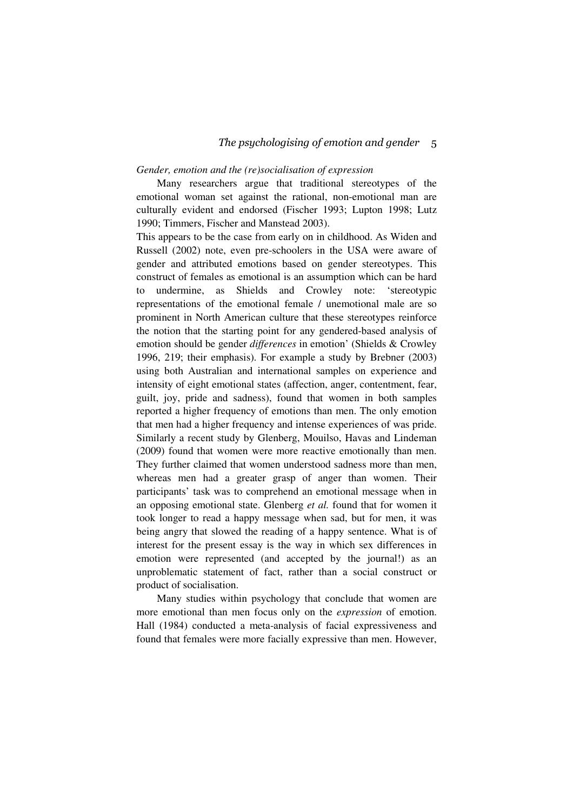#### *Gender, emotion and the (re)socialisation of expression*

Many researchers argue that traditional stereotypes of the emotional woman set against the rational, non-emotional man are culturally evident and endorsed (Fischer 1993; Lupton 1998; Lutz 1990; Timmers, Fischer and Manstead 2003).

This appears to be the case from early on in childhood. As Widen and Russell (2002) note, even pre-schoolers in the USA were aware of gender and attributed emotions based on gender stereotypes. This construct of females as emotional is an assumption which can be hard to undermine, as Shields and Crowley note: 'stereotypic representations of the emotional female / unemotional male are so prominent in North American culture that these stereotypes reinforce the notion that the starting point for any gendered-based analysis of emotion should be gender *differences* in emotion' (Shields & Crowley 1996, 219; their emphasis). For example a study by Brebner (2003) using both Australian and international samples on experience and intensity of eight emotional states (affection, anger, contentment, fear, guilt, joy, pride and sadness), found that women in both samples reported a higher frequency of emotions than men. The only emotion that men had a higher frequency and intense experiences of was pride. Similarly a recent study by Glenberg, Mouilso, Havas and Lindeman (2009) found that women were more reactive emotionally than men. They further claimed that women understood sadness more than men, whereas men had a greater grasp of anger than women. Their participants' task was to comprehend an emotional message when in an opposing emotional state. Glenberg *et al.* found that for women it took longer to read a happy message when sad, but for men, it was being angry that slowed the reading of a happy sentence. What is of interest for the present essay is the way in which sex differences in emotion were represented (and accepted by the journal!) as an unproblematic statement of fact, rather than a social construct or product of socialisation.

Many studies within psychology that conclude that women are more emotional than men focus only on the *expression* of emotion. Hall (1984) conducted a meta-analysis of facial expressiveness and found that females were more facially expressive than men. However,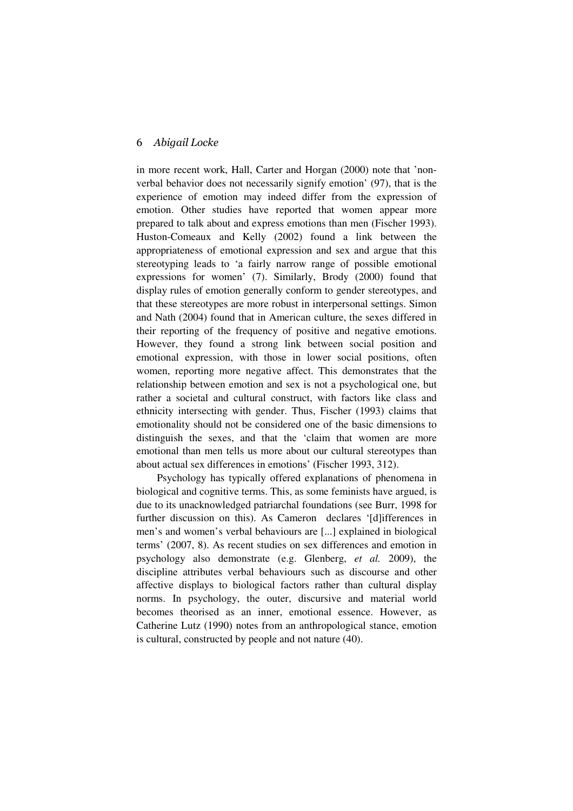in more recent work, Hall, Carter and Horgan (2000) note that 'nonverbal behavior does not necessarily signify emotion' (97), that is the experience of emotion may indeed differ from the expression of emotion. Other studies have reported that women appear more prepared to talk about and express emotions than men (Fischer 1993). Huston-Comeaux and Kelly (2002) found a link between the appropriateness of emotional expression and sex and argue that this stereotyping leads to 'a fairly narrow range of possible emotional expressions for women' (7). Similarly, Brody (2000) found that display rules of emotion generally conform to gender stereotypes, and that these stereotypes are more robust in interpersonal settings. Simon and Nath (2004) found that in American culture, the sexes differed in their reporting of the frequency of positive and negative emotions. However, they found a strong link between social position and emotional expression, with those in lower social positions, often women, reporting more negative affect. This demonstrates that the relationship between emotion and sex is not a psychological one, but rather a societal and cultural construct, with factors like class and ethnicity intersecting with gender. Thus, Fischer (1993) claims that emotionality should not be considered one of the basic dimensions to distinguish the sexes, and that the 'claim that women are more emotional than men tells us more about our cultural stereotypes than about actual sex differences in emotions' (Fischer 1993, 312).

Psychology has typically offered explanations of phenomena in biological and cognitive terms. This, as some feminists have argued, is due to its unacknowledged patriarchal foundations (see Burr, 1998 for further discussion on this). As Cameron declares '[d]ifferences in men's and women's verbal behaviours are [...] explained in biological terms' (2007, 8). As recent studies on sex differences and emotion in psychology also demonstrate (e.g. Glenberg, *et al.* 2009), the discipline attributes verbal behaviours such as discourse and other affective displays to biological factors rather than cultural display norms. In psychology, the outer, discursive and material world becomes theorised as an inner, emotional essence. However, as Catherine Lutz (1990) notes from an anthropological stance, emotion is cultural, constructed by people and not nature (40).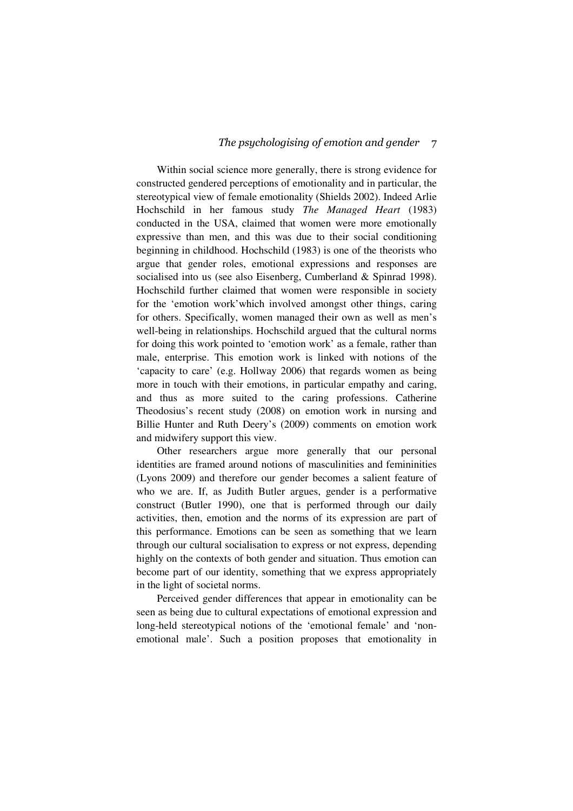#### The psychologising of emotion and gender  $\overline{7}$

Within social science more generally, there is strong evidence for constructed gendered perceptions of emotionality and in particular, the stereotypical view of female emotionality (Shields 2002). Indeed Arlie Hochschild in her famous study *The Managed Heart* (1983) conducted in the USA, claimed that women were more emotionally expressive than men, and this was due to their social conditioning beginning in childhood. Hochschild (1983) is one of the theorists who argue that gender roles, emotional expressions and responses are socialised into us (see also Eisenberg, Cumberland & Spinrad 1998). Hochschild further claimed that women were responsible in society for the 'emotion work'which involved amongst other things, caring for others. Specifically, women managed their own as well as men's well-being in relationships. Hochschild argued that the cultural norms for doing this work pointed to 'emotion work' as a female, rather than male, enterprise. This emotion work is linked with notions of the 'capacity to care' (e.g. Hollway 2006) that regards women as being more in touch with their emotions, in particular empathy and caring, and thus as more suited to the caring professions. Catherine Theodosius's recent study (2008) on emotion work in nursing and Billie Hunter and Ruth Deery's (2009) comments on emotion work and midwifery support this view.

Other researchers argue more generally that our personal identities are framed around notions of masculinities and femininities (Lyons 2009) and therefore our gender becomes a salient feature of who we are. If, as Judith Butler argues, gender is a performative construct (Butler 1990), one that is performed through our daily activities, then, emotion and the norms of its expression are part of this performance. Emotions can be seen as something that we learn through our cultural socialisation to express or not express, depending highly on the contexts of both gender and situation. Thus emotion can become part of our identity, something that we express appropriately in the light of societal norms.

Perceived gender differences that appear in emotionality can be seen as being due to cultural expectations of emotional expression and long-held stereotypical notions of the 'emotional female' and 'nonemotional male'. Such a position proposes that emotionality in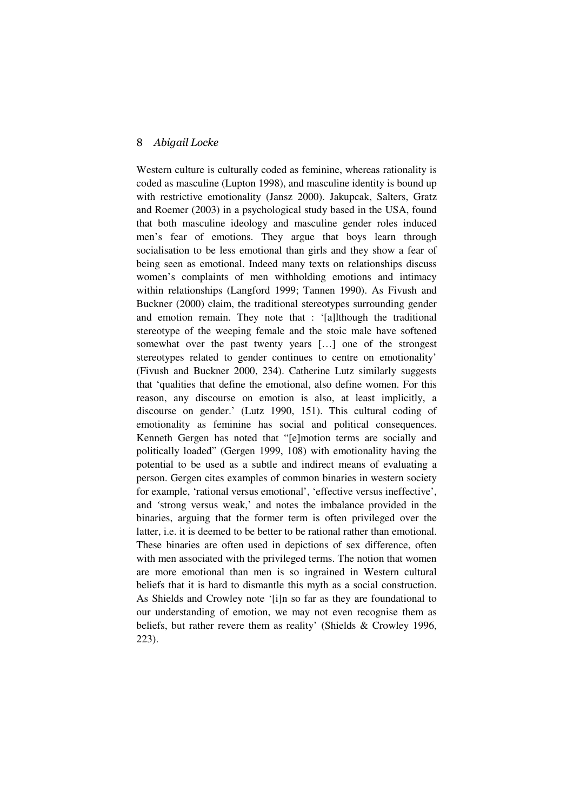Western culture is culturally coded as feminine, whereas rationality is coded as masculine (Lupton 1998), and masculine identity is bound up with restrictive emotionality (Jansz 2000). Jakupcak, Salters, Gratz and Roemer (2003) in a psychological study based in the USA, found that both masculine ideology and masculine gender roles induced men's fear of emotions. They argue that boys learn through socialisation to be less emotional than girls and they show a fear of being seen as emotional. Indeed many texts on relationships discuss women's complaints of men withholding emotions and intimacy within relationships (Langford 1999; Tannen 1990). As Fivush and Buckner (2000) claim, the traditional stereotypes surrounding gender and emotion remain. They note that : '[a]lthough the traditional stereotype of the weeping female and the stoic male have softened somewhat over the past twenty years […] one of the strongest stereotypes related to gender continues to centre on emotionality' (Fivush and Buckner 2000, 234). Catherine Lutz similarly suggests that 'qualities that define the emotional, also define women. For this reason, any discourse on emotion is also, at least implicitly, a discourse on gender.' (Lutz 1990, 151). This cultural coding of emotionality as feminine has social and political consequences. Kenneth Gergen has noted that "[e]motion terms are socially and politically loaded" (Gergen 1999, 108) with emotionality having the potential to be used as a subtle and indirect means of evaluating a person. Gergen cites examples of common binaries in western society for example, 'rational versus emotional', 'effective versus ineffective', and *'*strong versus weak,' and notes the imbalance provided in the binaries, arguing that the former term is often privileged over the latter, i.e. it is deemed to be better to be rational rather than emotional. These binaries are often used in depictions of sex difference, often with men associated with the privileged terms. The notion that women are more emotional than men is so ingrained in Western cultural beliefs that it is hard to dismantle this myth as a social construction. As Shields and Crowley note '[i]n so far as they are foundational to our understanding of emotion, we may not even recognise them as beliefs, but rather revere them as reality' (Shields & Crowley 1996, 223).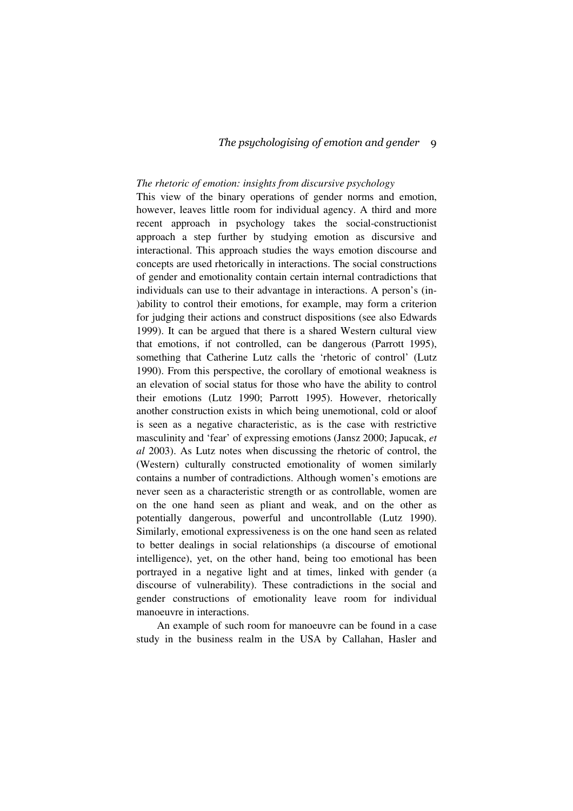## The psychologising of emotion and gender  $9$

#### *The rhetoric of emotion: insights from discursive psychology*

This view of the binary operations of gender norms and emotion, however, leaves little room for individual agency. A third and more recent approach in psychology takes the social-constructionist approach a step further by studying emotion as discursive and interactional. This approach studies the ways emotion discourse and concepts are used rhetorically in interactions. The social constructions of gender and emotionality contain certain internal contradictions that individuals can use to their advantage in interactions. A person's (in- )ability to control their emotions, for example, may form a criterion for judging their actions and construct dispositions (see also Edwards 1999). It can be argued that there is a shared Western cultural view that emotions, if not controlled, can be dangerous (Parrott 1995), something that Catherine Lutz calls the 'rhetoric of control' (Lutz 1990). From this perspective, the corollary of emotional weakness is an elevation of social status for those who have the ability to control their emotions (Lutz 1990; Parrott 1995). However, rhetorically another construction exists in which being unemotional, cold or aloof is seen as a negative characteristic, as is the case with restrictive masculinity and 'fear' of expressing emotions (Jansz 2000; Japucak, *et al* 2003). As Lutz notes when discussing the rhetoric of control, the (Western) culturally constructed emotionality of women similarly contains a number of contradictions. Although women's emotions are never seen as a characteristic strength or as controllable, women are on the one hand seen as pliant and weak, and on the other as potentially dangerous, powerful and uncontrollable (Lutz 1990). Similarly, emotional expressiveness is on the one hand seen as related to better dealings in social relationships (a discourse of emotional intelligence), yet, on the other hand, being too emotional has been portrayed in a negative light and at times, linked with gender (a discourse of vulnerability). These contradictions in the social and gender constructions of emotionality leave room for individual manoeuvre in interactions.

An example of such room for manoeuvre can be found in a case study in the business realm in the USA by Callahan, Hasler and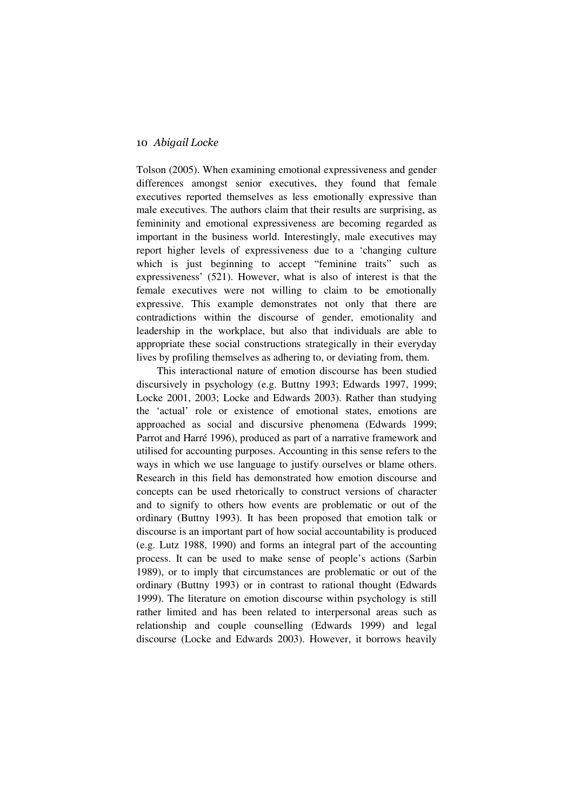Tolson (2005). When examining emotional expressiveness and gender differences amongst senior executives, they found that female executives reported themselves as less emotionally expressive than male executives. The authors claim that their results are surprising, as femininity and emotional expressiveness are becoming regarded as important in the business world. Interestingly, male executives may report higher levels of expressiveness due to a 'changing culture which is just beginning to accept "feminine traits" such as expressiveness' (521). However, what is also of interest is that the female executives were not willing to claim to be emotionally expressive. This example demonstrates not only that there are contradictions within the discourse of gender, emotionality and leadership in the workplace, but also that individuals are able to appropriate these social constructions strategically in their everyday lives by profiling themselves as adhering to, or deviating from, them.

This interactional nature of emotion discourse has been studied discursively in psychology (e.g. Buttny 1993; Edwards 1997, 1999; Locke 2001, 2003; Locke and Edwards 2003). Rather than studying the 'actual' role or existence of emotional states, emotions are approached as social and discursive phenomena (Edwards 1999; Parrot and Harré 1996), produced as part of a narrative framework and utilised for accounting purposes. Accounting in this sense refers to the ways in which we use language to justify ourselves or blame others. Research in this field has demonstrated how emotion discourse and concepts can be used rhetorically to construct versions of character and to signify to others how events are problematic or out of the ordinary (Buttny 1993). It has been proposed that emotion talk or discourse is an important part of how social accountability is produced (e.g. Lutz 1988, 1990) and forms an integral part of the accounting process. It can be used to make sense of people's actions (Sarbin 1989), or to imply that circumstances are problematic or out of the ordinary (Buttny 1993) or in contrast to rational thought (Edwards 1999). The literature on emotion discourse within psychology is still rather limited and has been related to interpersonal areas such as relationship and couple counselling (Edwards 1999) and legal discourse (Locke and Edwards 2003). However, it borrows heavily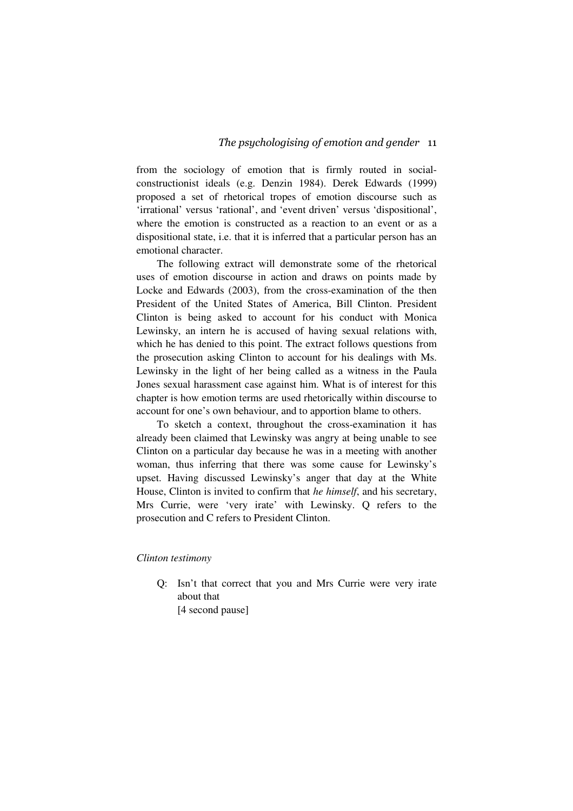from the sociology of emotion that is firmly routed in socialconstructionist ideals (e.g. Denzin 1984). Derek Edwards (1999) proposed a set of rhetorical tropes of emotion discourse such as 'irrational' versus 'rational', and 'event driven' versus 'dispositional', where the emotion is constructed as a reaction to an event or as a dispositional state, i.e. that it is inferred that a particular person has an emotional character.

The following extract will demonstrate some of the rhetorical uses of emotion discourse in action and draws on points made by Locke and Edwards (2003), from the cross-examination of the then President of the United States of America, Bill Clinton. President Clinton is being asked to account for his conduct with Monica Lewinsky, an intern he is accused of having sexual relations with, which he has denied to this point. The extract follows questions from the prosecution asking Clinton to account for his dealings with Ms. Lewinsky in the light of her being called as a witness in the Paula Jones sexual harassment case against him. What is of interest for this chapter is how emotion terms are used rhetorically within discourse to account for one's own behaviour, and to apportion blame to others.

To sketch a context, throughout the cross-examination it has already been claimed that Lewinsky was angry at being unable to see Clinton on a particular day because he was in a meeting with another woman, thus inferring that there was some cause for Lewinsky's upset. Having discussed Lewinsky's anger that day at the White House, Clinton is invited to confirm that *he himself*, and his secretary, Mrs Currie, were 'very irate' with Lewinsky. Q refers to the prosecution and C refers to President Clinton.

#### *Clinton testimony*

- Q: Isn't that correct that you and Mrs Currie were very irate about that
	- [4 second pause]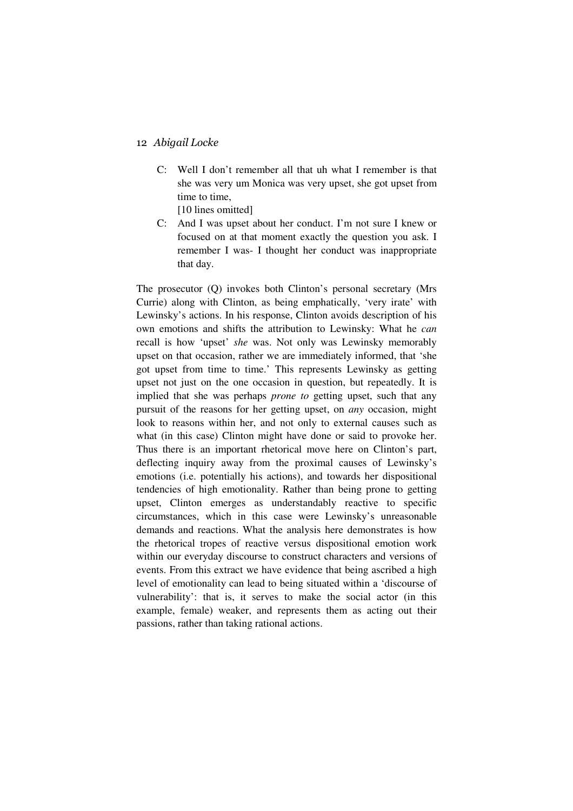C: Well I don't remember all that uh what I remember is that she was very um Monica was very upset, she got upset from time to time,

[10 lines omitted]

C: And I was upset about her conduct. I'm not sure I knew or focused on at that moment exactly the question you ask. I remember I was- I thought her conduct was inappropriate that day.

The prosecutor (Q) invokes both Clinton's personal secretary (Mrs Currie) along with Clinton, as being emphatically, 'very irate' with Lewinsky's actions. In his response, Clinton avoids description of his own emotions and shifts the attribution to Lewinsky: What he *can* recall is how 'upset' *she* was. Not only was Lewinsky memorably upset on that occasion, rather we are immediately informed, that 'she got upset from time to time.' This represents Lewinsky as getting upset not just on the one occasion in question, but repeatedly. It is implied that she was perhaps *prone to* getting upset, such that any pursuit of the reasons for her getting upset, on *any* occasion, might look to reasons within her, and not only to external causes such as what (in this case) Clinton might have done or said to provoke her. Thus there is an important rhetorical move here on Clinton's part, deflecting inquiry away from the proximal causes of Lewinsky's emotions (i.e. potentially his actions), and towards her dispositional tendencies of high emotionality. Rather than being prone to getting upset, Clinton emerges as understandably reactive to specific circumstances, which in this case were Lewinsky's unreasonable demands and reactions. What the analysis here demonstrates is how the rhetorical tropes of reactive versus dispositional emotion work within our everyday discourse to construct characters and versions of events. From this extract we have evidence that being ascribed a high level of emotionality can lead to being situated within a 'discourse of vulnerability': that is, it serves to make the social actor (in this example, female) weaker, and represents them as acting out their passions, rather than taking rational actions.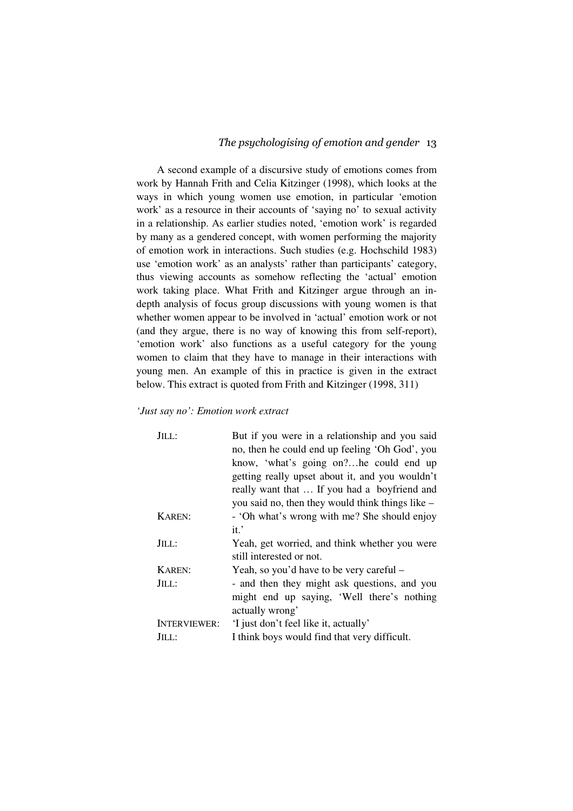## The psychologising of emotion and gender 13

A second example of a discursive study of emotions comes from work by Hannah Frith and Celia Kitzinger (1998), which looks at the ways in which young women use emotion, in particular 'emotion work' as a resource in their accounts of 'saying no' to sexual activity in a relationship. As earlier studies noted, 'emotion work' is regarded by many as a gendered concept, with women performing the majority of emotion work in interactions. Such studies (e.g. Hochschild 1983) use 'emotion work' as an analysts' rather than participants' category, thus viewing accounts as somehow reflecting the 'actual' emotion work taking place. What Frith and Kitzinger argue through an indepth analysis of focus group discussions with young women is that whether women appear to be involved in 'actual' emotion work or not (and they argue, there is no way of knowing this from self-report), 'emotion work' also functions as a useful category for the young women to claim that they have to manage in their interactions with young men. An example of this in practice is given in the extract below. This extract is quoted from Frith and Kitzinger (1998, 311)

## *'Just say no': Emotion work extract*

| $J$ ILL:            | But if you were in a relationship and you said   |
|---------------------|--------------------------------------------------|
|                     | no, then he could end up feeling 'Oh God', you   |
|                     | know, 'what's going on?he could end up           |
|                     | getting really upset about it, and you wouldn't  |
|                     | really want that  If you had a boyfriend and     |
|                     | you said no, then they would think things like – |
| <b>KAREN:</b>       | - 'Oh what's wrong with me? She should enjoy     |
|                     | it.                                              |
| $J$ ILL:            | Yeah, get worried, and think whether you were    |
|                     | still interested or not.                         |
| <b>KAREN:</b>       | Yeah, so you'd have to be very careful –         |
| $JILL$ :            | - and then they might ask questions, and you     |
|                     | might end up saying, 'Well there's nothing       |
|                     | actually wrong'                                  |
| <b>INTERVIEWER:</b> | 'I just don't feel like it, actually'            |
| JILL:               | I think boys would find that very difficult.     |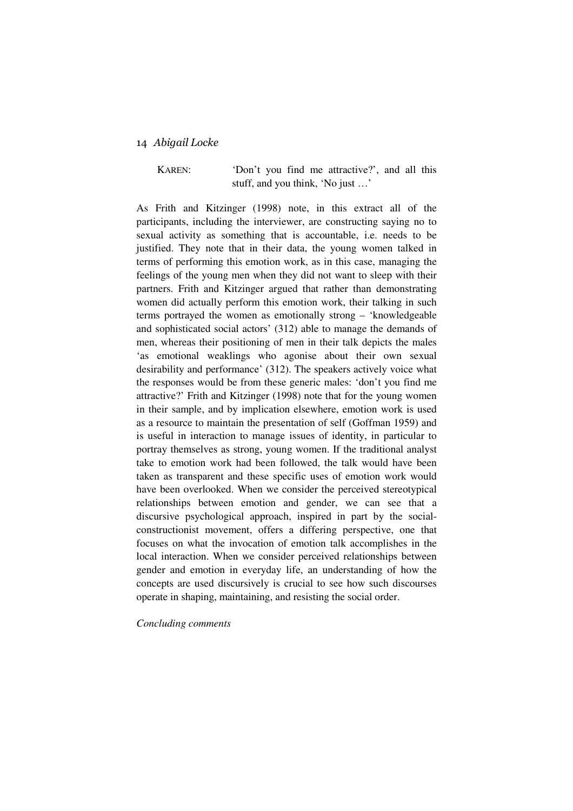KAREN: 'Don't you find me attractive?', and all this stuff, and you think, 'No just …'

As Frith and Kitzinger (1998) note, in this extract all of the participants, including the interviewer, are constructing saying no to sexual activity as something that is accountable, i.e. needs to be justified. They note that in their data, the young women talked in terms of performing this emotion work, as in this case, managing the feelings of the young men when they did not want to sleep with their partners. Frith and Kitzinger argued that rather than demonstrating women did actually perform this emotion work, their talking in such terms portrayed the women as emotionally strong – 'knowledgeable and sophisticated social actors' (312) able to manage the demands of men, whereas their positioning of men in their talk depicts the males 'as emotional weaklings who agonise about their own sexual desirability and performance' (312). The speakers actively voice what the responses would be from these generic males: 'don't you find me attractive?' Frith and Kitzinger (1998) note that for the young women in their sample, and by implication elsewhere, emotion work is used as a resource to maintain the presentation of self (Goffman 1959) and is useful in interaction to manage issues of identity, in particular to portray themselves as strong, young women. If the traditional analyst take to emotion work had been followed, the talk would have been taken as transparent and these specific uses of emotion work would have been overlooked. When we consider the perceived stereotypical relationships between emotion and gender, we can see that a discursive psychological approach, inspired in part by the socialconstructionist movement, offers a differing perspective, one that focuses on what the invocation of emotion talk accomplishes in the local interaction. When we consider perceived relationships between gender and emotion in everyday life, an understanding of how the concepts are used discursively is crucial to see how such discourses operate in shaping, maintaining, and resisting the social order.

*Concluding comments*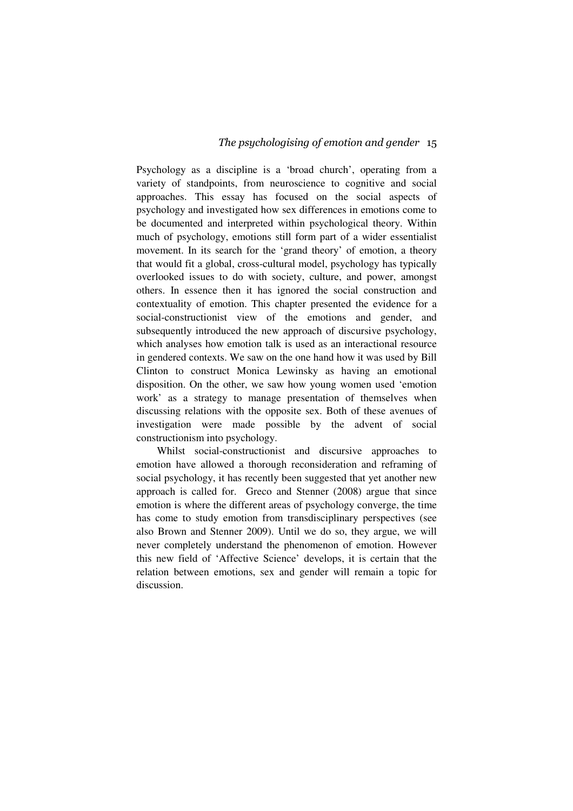## The psychologising of emotion and gender 15

Psychology as a discipline is a 'broad church', operating from a variety of standpoints, from neuroscience to cognitive and social approaches. This essay has focused on the social aspects of psychology and investigated how sex differences in emotions come to be documented and interpreted within psychological theory. Within much of psychology, emotions still form part of a wider essentialist movement. In its search for the 'grand theory' of emotion, a theory that would fit a global, cross-cultural model, psychology has typically overlooked issues to do with society, culture, and power, amongst others. In essence then it has ignored the social construction and contextuality of emotion. This chapter presented the evidence for a social-constructionist view of the emotions and gender, and subsequently introduced the new approach of discursive psychology, which analyses how emotion talk is used as an interactional resource in gendered contexts. We saw on the one hand how it was used by Bill Clinton to construct Monica Lewinsky as having an emotional disposition. On the other, we saw how young women used 'emotion work' as a strategy to manage presentation of themselves when discussing relations with the opposite sex. Both of these avenues of investigation were made possible by the advent of social constructionism into psychology.

Whilst social-constructionist and discursive approaches to emotion have allowed a thorough reconsideration and reframing of social psychology, it has recently been suggested that yet another new approach is called for. Greco and Stenner (2008) argue that since emotion is where the different areas of psychology converge, the time has come to study emotion from transdisciplinary perspectives (see also Brown and Stenner 2009). Until we do so, they argue, we will never completely understand the phenomenon of emotion. However this new field of 'Affective Science' develops, it is certain that the relation between emotions, sex and gender will remain a topic for discussion.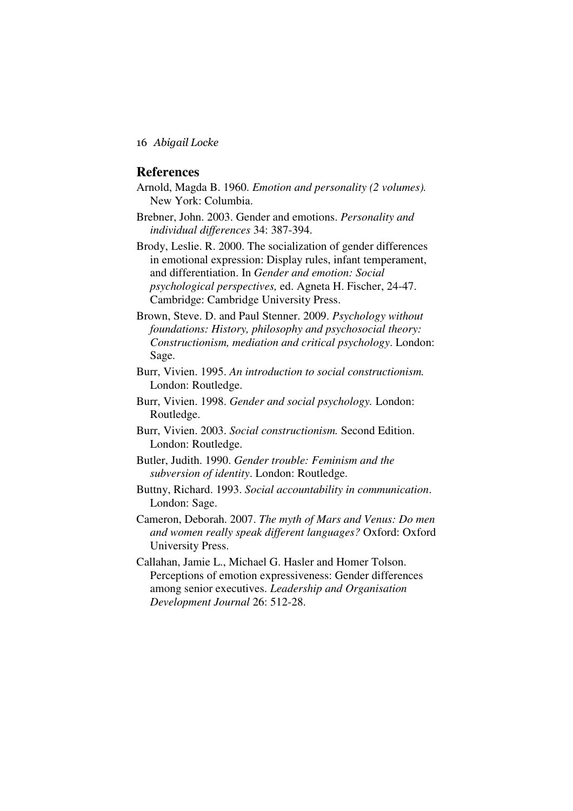## **References**

- Arnold, Magda B. 1960. *Emotion and personality (2 volumes).* New York: Columbia.
- Brebner, John. 2003. Gender and emotions. *Personality and individual differences* 34: 387-394.

Brody, Leslie. R. 2000. The socialization of gender differences in emotional expression: Display rules, infant temperament, and differentiation. In *Gender and emotion: Social psychological perspectives,* ed. Agneta H. Fischer, 24-47. Cambridge: Cambridge University Press.

- Brown, Steve. D. and Paul Stenner. 2009. *Psychology without foundations: History, philosophy and psychosocial theory: Constructionism, mediation and critical psychology*. London: Sage.
- Burr, Vivien. 1995. *An introduction to social constructionism.*  London: Routledge.
- Burr, Vivien. 1998. *Gender and social psychology.* London: Routledge.
- Burr, Vivien. 2003. *Social constructionism.* Second Edition. London: Routledge.
- Butler, Judith. 1990. *Gender trouble: Feminism and the subversion of identity*. London: Routledge.
- Buttny, Richard. 1993. *Social accountability in communication*. London: Sage.
- Cameron, Deborah. 2007. *The myth of Mars and Venus: Do men and women really speak different languages?* Oxford: Oxford University Press.
- Callahan, Jamie L., Michael G. Hasler and Homer Tolson. Perceptions of emotion expressiveness: Gender differences among senior executives. *Leadership and Organisation Development Journal* 26: 512-28.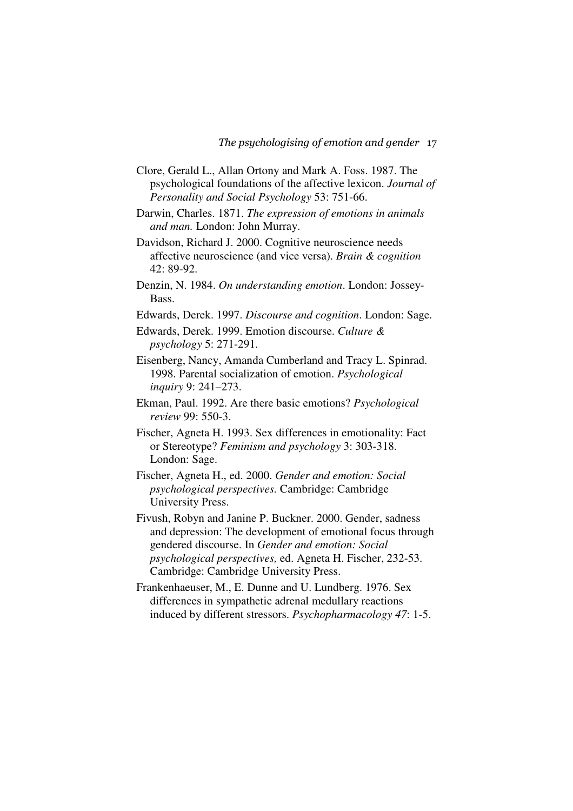- Clore, Gerald L., Allan Ortony and Mark A. Foss. 1987. The psychological foundations of the affective lexicon. *Journal of Personality and Social Psychology* 53: 751-66.
- Darwin, Charles. 1871. *The expression of emotions in animals and man.* London: John Murray.
- Davidson, Richard J. 2000. Cognitive neuroscience needs affective neuroscience (and vice versa). *Brain & cognition* 42: 89-92.
- Denzin, N. 1984. *On understanding emotion*. London: Jossey-Bass.
- Edwards, Derek. 1997. *Discourse and cognition*. London: Sage.
- Edwards, Derek. 1999. Emotion discourse. *Culture & psychology* 5: 271-291.
- Eisenberg, Nancy, Amanda Cumberland and Tracy L. Spinrad. 1998. Parental socialization of emotion. *Psychological inquiry* 9: 241–273.
- Ekman, Paul. 1992. Are there basic emotions? *Psychological review* 99: 550-3.
- Fischer, Agneta H. 1993. Sex differences in emotionality: Fact or Stereotype? *Feminism and psychology* 3: 303-318. London: Sage.
- Fischer, Agneta H., ed. 2000. *Gender and emotion: Social psychological perspectives.* Cambridge: Cambridge University Press.
- Fivush, Robyn and Janine P. Buckner. 2000. Gender, sadness and depression: The development of emotional focus through gendered discourse. In *Gender and emotion: Social psychological perspectives,* ed. Agneta H. Fischer, 232-53. Cambridge: Cambridge University Press.
- Frankenhaeuser, M., E. Dunne and U. Lundberg. 1976. Sex differences in sympathetic adrenal medullary reactions induced by different stressors. *Psychopharmacology 47*: 1-5.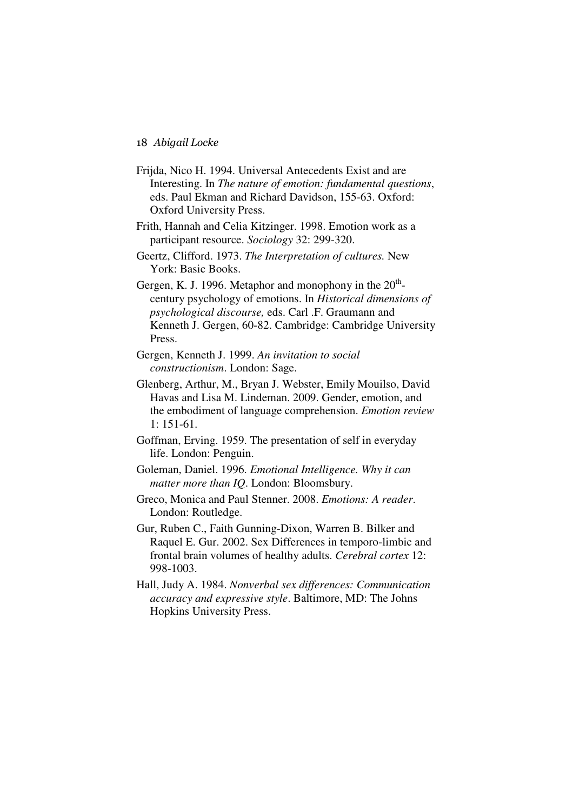- Frijda, Nico H. 1994. Universal Antecedents Exist and are Interesting. In *The nature of emotion: fundamental questions*, eds. Paul Ekman and Richard Davidson, 155-63. Oxford: Oxford University Press.
- Frith, Hannah and Celia Kitzinger. 1998. Emotion work as a participant resource. *Sociology* 32: 299-320.
- Geertz, Clifford. 1973. *The Interpretation of cultures.* New York: Basic Books.
- Gergen, K. J. 1996. Metaphor and monophony in the  $20^{\text{th}}$ century psychology of emotions. In *Historical dimensions of psychological discourse,* eds. Carl .F. Graumann and Kenneth J. Gergen, 60-82. Cambridge: Cambridge University Press.
- Gergen, Kenneth J. 1999. *An invitation to social constructionism*. London: Sage.
- Glenberg, Arthur, M., Bryan J. Webster, Emily Mouilso, David Havas and Lisa M. Lindeman. 2009. Gender, emotion, and the embodiment of language comprehension. *Emotion review* 1: 151-61.
- Goffman, Erving. 1959. The presentation of self in everyday life. London: Penguin.
- Goleman, Daniel. 1996. *Emotional Intelligence. Why it can matter more than IQ*. London: Bloomsbury.
- Greco, Monica and Paul Stenner. 2008. *Emotions: A reader*. London: Routledge.
- Gur, Ruben C., Faith Gunning-Dixon, Warren B. Bilker and Raquel E. Gur. 2002. Sex Differences in temporo-limbic and frontal brain volumes of healthy adults. *Cerebral cortex* 12: 998-1003.
- Hall, Judy A. 1984. *Nonverbal sex differences: Communication accuracy and expressive style*. Baltimore, MD: The Johns Hopkins University Press.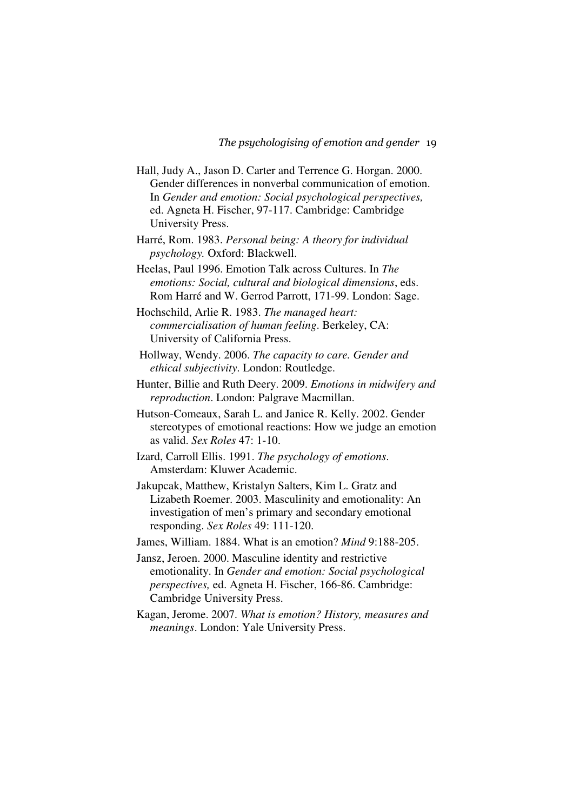- Hall, Judy A., Jason D. Carter and Terrence G. Horgan. 2000. Gender differences in nonverbal communication of emotion. In *Gender and emotion: Social psychological perspectives,*  ed. Agneta H. Fischer, 97-117. Cambridge: Cambridge University Press.
- Harré, Rom. 1983. *Personal being: A theory for individual psychology.* Oxford: Blackwell.
- Heelas, Paul 1996. Emotion Talk across Cultures. In *The emotions: Social, cultural and biological dimensions*, eds. Rom Harré and W. Gerrod Parrott, 171-99. London: Sage.
- Hochschild, Arlie R. 1983. *The managed heart: commercialisation of human feeling*. Berkeley, CA: University of California Press.
- Hollway, Wendy. 2006. *The capacity to care. Gender and ethical subjectivity*. London: Routledge.
- Hunter, Billie and Ruth Deery. 2009. *Emotions in midwifery and reproduction*. London: Palgrave Macmillan.
- Hutson-Comeaux, Sarah L. and Janice R. Kelly. 2002. Gender stereotypes of emotional reactions: How we judge an emotion as valid. *Sex Roles* 47: 1-10.
- Izard, Carroll Ellis. 1991. *The psychology of emotions*. Amsterdam: Kluwer Academic.
- Jakupcak, Matthew, Kristalyn Salters, Kim L. Gratz and Lizabeth Roemer. 2003. Masculinity and emotionality: An investigation of men's primary and secondary emotional responding. *Sex Roles* 49: 111-120.
- James, William. 1884. What is an emotion? *Mind* 9:188-205.
- Jansz, Jeroen. 2000. Masculine identity and restrictive emotionality. In *Gender and emotion: Social psychological perspectives,* ed. Agneta H. Fischer, 166-86. Cambridge: Cambridge University Press.
- Kagan, Jerome. 2007. *What is emotion? History, measures and meanings*. London: Yale University Press.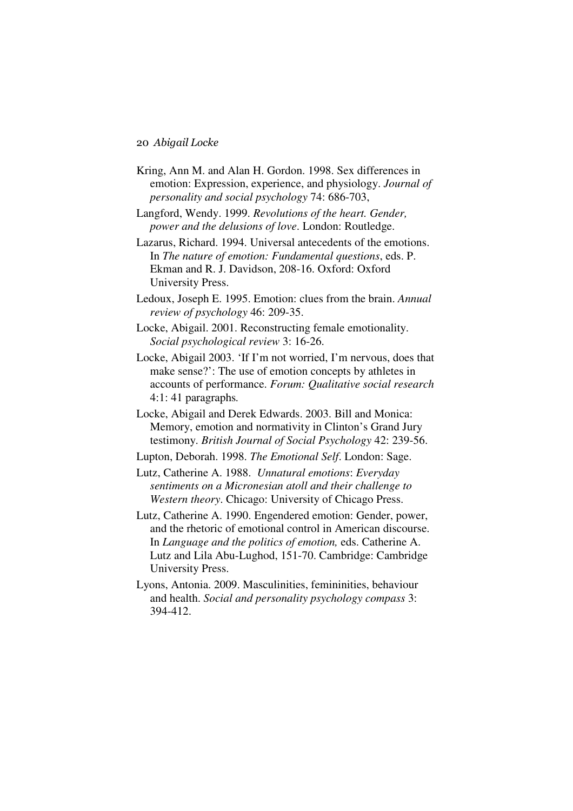- Kring, Ann M. and Alan H. Gordon. 1998. Sex differences in emotion: Expression, experience, and physiology. *Journal of personality and social psychology* 74: 686-703,
- Langford, Wendy. 1999. *Revolutions of the heart. Gender, power and the delusions of love*. London: Routledge.
- Lazarus, Richard. 1994. Universal antecedents of the emotions. In *The nature of emotion: Fundamental questions*, eds. P. Ekman and R. J. Davidson, 208-16. Oxford: Oxford University Press.
- Ledoux, Joseph E. 1995. Emotion: clues from the brain. *Annual review of psychology* 46: 209-35.
- Locke, Abigail. 2001. Reconstructing female emotionality. *Social psychological review* 3: 16-26.
- Locke, Abigail 2003. 'If I'm not worried, I'm nervous, does that make sense?': The use of emotion concepts by athletes in accounts of performance. *Forum: Qualitative social research*  4:1: 41 paragraphs*.*
- Locke, Abigail and Derek Edwards. 2003. Bill and Monica: Memory, emotion and normativity in Clinton's Grand Jury testimony. *British Journal of Social Psychology* 42: 239-56.
- Lupton, Deborah. 1998. *The Emotional Self*. London: Sage.
- Lutz, Catherine A. 1988. *Unnatural emotions*: *Everyday sentiments on a Micronesian atoll and their challenge to Western theory*. Chicago: University of Chicago Press.
- Lutz, Catherine A. 1990. Engendered emotion: Gender, power, and the rhetoric of emotional control in American discourse. In *Language and the politics of emotion,* eds. Catherine A. Lutz and Lila Abu-Lughod, 151-70. Cambridge: Cambridge University Press.
- Lyons, Antonia. 2009. Masculinities, femininities, behaviour and health. *Social and personality psychology compass* 3: 394-412.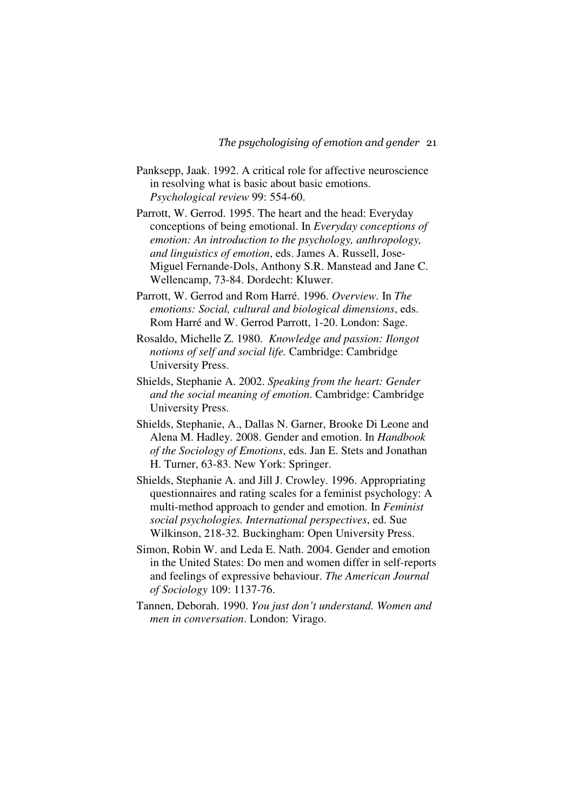- Panksepp, Jaak. 1992. A critical role for affective neuroscience in resolving what is basic about basic emotions. *Psychological review* 99: 554-60.
- Parrott, W. Gerrod. 1995. The heart and the head: Everyday conceptions of being emotional. In *Everyday conceptions of emotion: An introduction to the psychology, anthropology, and linguistics of emotion*, eds. James A. Russell, Jose-Miguel Fernande-Dols, Anthony S.R. Manstead and Jane C. Wellencamp, 73-84. Dordecht: Kluwer.
- Parrott, W. Gerrod and Rom Harré. 1996. *Overview.* In *The emotions: Social, cultural and biological dimensions*, eds. Rom Harré and W. Gerrod Parrott, 1-20. London: Sage.
- Rosaldo, Michelle Z. 1980. *Knowledge and passion: Ilongot notions of self and social life.* Cambridge: Cambridge University Press.
- Shields, Stephanie A. 2002. *Speaking from the heart: Gender and the social meaning of emotion*. Cambridge: Cambridge University Press.
- Shields, Stephanie, A., Dallas N. Garner, Brooke Di Leone and Alena M. Hadley. 2008. Gender and emotion. In *Handbook of the Sociology of Emotions*, eds. Jan E. Stets and Jonathan H. Turner, 63-83. New York: Springer.
- Shields, Stephanie A. and Jill J. Crowley. 1996. Appropriating questionnaires and rating scales for a feminist psychology: A multi-method approach to gender and emotion. In *Feminist social psychologies. International perspectives*, ed. Sue Wilkinson, 218-32. Buckingham: Open University Press.
- Simon, Robin W. and Leda E. Nath. 2004. Gender and emotion in the United States: Do men and women differ in self-reports and feelings of expressive behaviour. *The American Journal of Sociology* 109: 1137-76.
- Tannen, Deborah. 1990. *You just don't understand. Women and men in conversation*. London: Virago.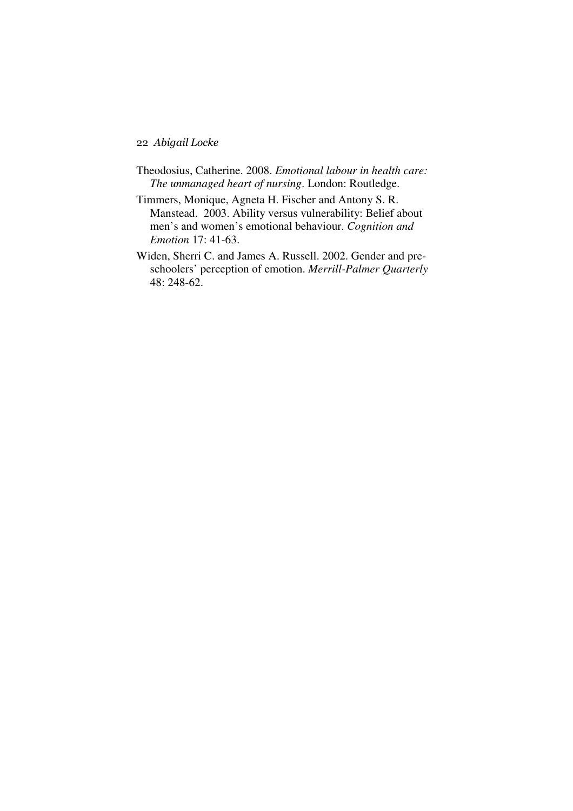- Theodosius, Catherine. 2008. *Emotional labour in health care: The unmanaged heart of nursing*. London: Routledge.
- Timmers, Monique, Agneta H. Fischer and Antony S. R. Manstead. 2003. Ability versus vulnerability: Belief about men's and women's emotional behaviour. *Cognition and Emotion* 17: 41-63.
- Widen, Sherri C. and James A. Russell. 2002. Gender and preschoolers' perception of emotion. *Merrill-Palmer Quarterly* 48: 248-62.